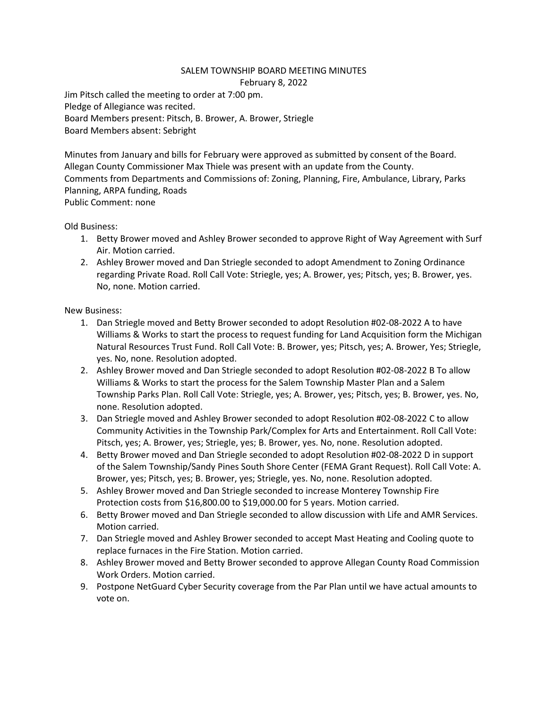## SALEM TOWNSHIP BOARD MEETING MINUTES February 8, 2022

Jim Pitsch called the meeting to order at 7:00 pm. Pledge of Allegiance was recited. Board Members present: Pitsch, B. Brower, A. Brower, Striegle Board Members absent: Sebright

Minutes from January and bills for February were approved as submitted by consent of the Board. Allegan County Commissioner Max Thiele was present with an update from the County. Comments from Departments and Commissions of: Zoning, Planning, Fire, Ambulance, Library, Parks Planning, ARPA funding, Roads Public Comment: none

Old Business:

- 1. Betty Brower moved and Ashley Brower seconded to approve Right of Way Agreement with Surf Air. Motion carried.
- 2. Ashley Brower moved and Dan Striegle seconded to adopt Amendment to Zoning Ordinance regarding Private Road. Roll Call Vote: Striegle, yes; A. Brower, yes; Pitsch, yes; B. Brower, yes. No, none. Motion carried.

## New Business:

- 1. Dan Striegle moved and Betty Brower seconded to adopt Resolution #02-08-2022 A to have Williams & Works to start the process to request funding for Land Acquisition form the Michigan Natural Resources Trust Fund. Roll Call Vote: B. Brower, yes; Pitsch, yes; A. Brower, Yes; Striegle, yes. No, none. Resolution adopted.
- 2. Ashley Brower moved and Dan Striegle seconded to adopt Resolution #02-08-2022 B To allow Williams & Works to start the process for the Salem Township Master Plan and a Salem Township Parks Plan. Roll Call Vote: Striegle, yes; A. Brower, yes; Pitsch, yes; B. Brower, yes. No, none. Resolution adopted.
- 3. Dan Striegle moved and Ashley Brower seconded to adopt Resolution #02-08-2022 C to allow Community Activities in the Township Park/Complex for Arts and Entertainment. Roll Call Vote: Pitsch, yes; A. Brower, yes; Striegle, yes; B. Brower, yes. No, none. Resolution adopted.
- 4. Betty Brower moved and Dan Striegle seconded to adopt Resolution #02-08-2022 D in support of the Salem Township/Sandy Pines South Shore Center (FEMA Grant Request). Roll Call Vote: A. Brower, yes; Pitsch, yes; B. Brower, yes; Striegle, yes. No, none. Resolution adopted.
- 5. Ashley Brower moved and Dan Striegle seconded to increase Monterey Township Fire Protection costs from \$16,800.00 to \$19,000.00 for 5 years. Motion carried.
- 6. Betty Brower moved and Dan Striegle seconded to allow discussion with Life and AMR Services. Motion carried.
- 7. Dan Striegle moved and Ashley Brower seconded to accept Mast Heating and Cooling quote to replace furnaces in the Fire Station. Motion carried.
- 8. Ashley Brower moved and Betty Brower seconded to approve Allegan County Road Commission Work Orders. Motion carried.
- 9. Postpone NetGuard Cyber Security coverage from the Par Plan until we have actual amounts to vote on.